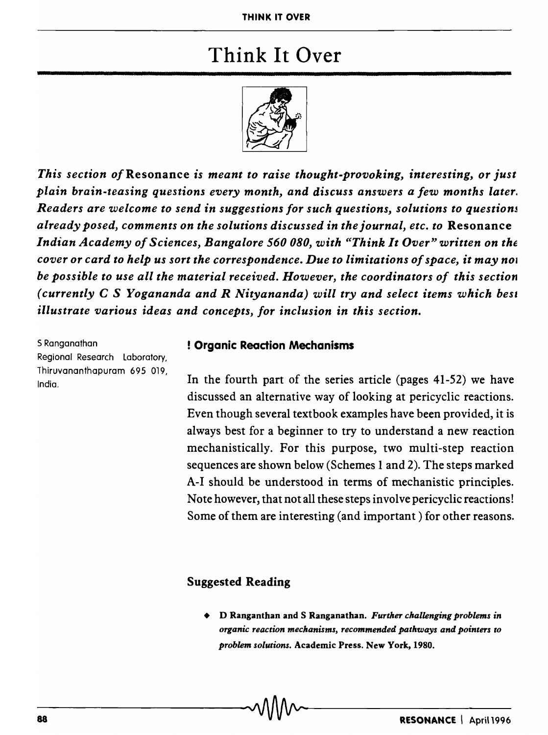## Think It Over



*This section of* Resonance *is meant to raise thought-provoking, interesting, or just plain brain-teasing questions every month, and discuss answers a few months later. Readers are welcome to send* in *suggestions for such questions, solutions to questionj already posed, comments on the solutions discussed* in *the journal, etc. to* Resonance Indian Academy of Sciences, Bangalore 560 080, with "Think It Over" written on the *cover or card to help us sort the correspondence. Due to limitations of space, it may nOI be possible to use all the material received. However, the coordinators of this section (currently* C S *Yogananda and R Nityananda) will try and select items which bes. illustrate various ideas and concepts, for inclusion* in *this section.* 

5 Ranganathan Regional Research Laboratory, Thiruvananthapuram 695 019, India.

## ! Organic Readion Mechanisms

In the fourth part of the series article (pages 41-52) we have discussed an alternative way of looking at pericyclic reactions. Even though several textbook examples have been provided, it is always best for a beginner to try to understand a new reaction mechanistically. For this purpose, two multi-step reaction sequences are shown below (Schemes 1 and 2). The steps marked A-I should be understood in terms of mechanistic principles. Note however, that not all these steps involve pericyclic reactions! Some of them are interesting (and important) for other reasons.

## Suggested Reading

• D Ranganthan and S Ranganathan. *Further challenging problems in organic reaction mechanisms, recommended pathways and pointers to problem solutions.* Academic Press. New York, 1980.